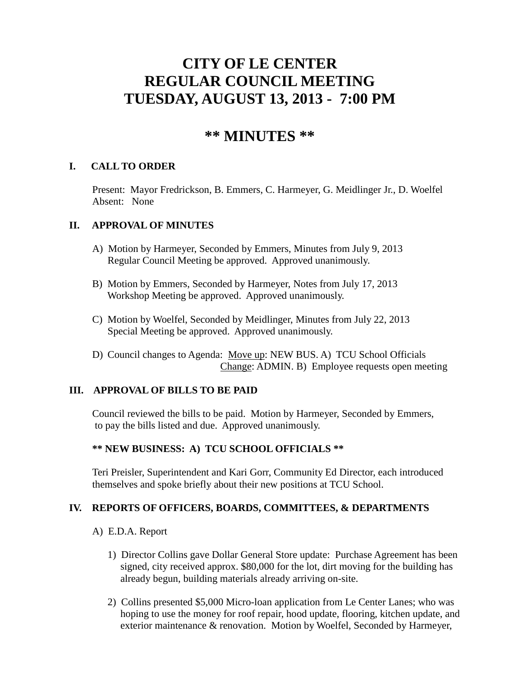# **CITY OF LE CENTER REGULAR COUNCIL MEETING TUESDAY, AUGUST 13, 2013 - 7:00 PM**

# **\*\* MINUTES \*\***

# **I. CALL TO ORDER**

Present: Mayor Fredrickson, B. Emmers, C. Harmeyer, G. Meidlinger Jr., D. Woelfel Absent: None

## **II. APPROVAL OF MINUTES**

- A) Motion by Harmeyer, Seconded by Emmers, Minutes from July 9, 2013 Regular Council Meeting be approved. Approved unanimously.
- B) Motion by Emmers, Seconded by Harmeyer, Notes from July 17, 2013 Workshop Meeting be approved. Approved unanimously.
- C) Motion by Woelfel, Seconded by Meidlinger, Minutes from July 22, 2013 Special Meeting be approved. Approved unanimously.
- D) Council changes to Agenda: Move up: NEW BUS. A) TCU School Officials Change: ADMIN. B) Employee requests open meeting

# **III. APPROVAL OF BILLS TO BE PAID**

Council reviewed the bills to be paid. Motion by Harmeyer, Seconded by Emmers, to pay the bills listed and due. Approved unanimously.

## **\*\* NEW BUSINESS: A) TCU SCHOOL OFFICIALS \*\***

Teri Preisler, Superintendent and Kari Gorr, Community Ed Director, each introduced themselves and spoke briefly about their new positions at TCU School.

## **IV. REPORTS OF OFFICERS, BOARDS, COMMITTEES, & DEPARTMENTS**

- A) E.D.A. Report
	- 1) Director Collins gave Dollar General Store update: Purchase Agreement has been signed, city received approx. \$80,000 for the lot, dirt moving for the building has already begun, building materials already arriving on-site.
	- 2) Collins presented \$5,000 Micro-loan application from Le Center Lanes; who was hoping to use the money for roof repair, hood update, flooring, kitchen update, and exterior maintenance & renovation. Motion by Woelfel, Seconded by Harmeyer,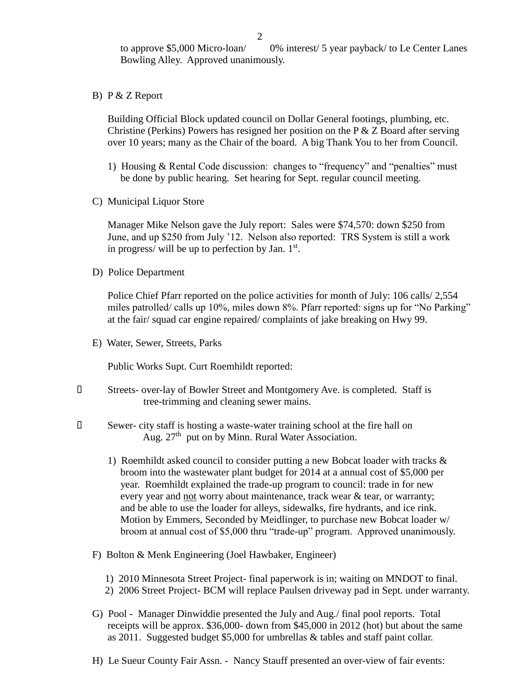to approve \$5,000 Micro-loan/ 0% interest/ 5 year payback/ to Le Center Lanes Bowling Alley. Approved unanimously.

B) P & Z Report

 Building Official Block updated council on Dollar General footings, plumbing, etc. Christine (Perkins) Powers has resigned her position on the P  $&$  Z Board after serving over 10 years; many as the Chair of the board. A big Thank You to her from Council.

- 1) Housing & Rental Code discussion: changes to "frequency" and "penalties" must be done by public hearing. Set hearing for Sept. regular council meeting.
- C) Municipal Liquor Store

Manager Mike Nelson gave the July report: Sales were \$74,570: down \$250 from June, and up \$250 from July '12. Nelson also reported: TRS System is still a work in progress/ will be up to perfection by Jan.  $1<sup>st</sup>$ .

D) Police Department

Police Chief Pfarr reported on the police activities for month of July: 106 calls/ 2,554 miles patrolled/ calls up 10%, miles down 8%. Pfarr reported: signs up for "No Parking" at the fair/ squad car engine repaired/ complaints of jake breaking on Hwy 99.

E) Water, Sewer, Streets, Parks

Public Works Supt. Curt Roemhildt reported:

- Streets- over-lay of Bowler Street and Montgomery Ave. is completed. Staff is tree-trimming and cleaning sewer mains.
- Sewer- city staff is hosting a waste-water training school at the fire hall on Aug.  $27<sup>th</sup>$  put on by Minn. Rural Water Association.
	- 1) Roemhildt asked council to consider putting a new Bobcat loader with tracks  $\&$  broom into the wastewater plant budget for 2014 at a annual cost of \$5,000 per year. Roemhildt explained the trade-up program to council: trade in for new every year and not worry about maintenance, track wear & tear, or warranty; and be able to use the loader for alleys, sidewalks, fire hydrants, and ice rink. Motion by Emmers, Seconded by Meidlinger, to purchase new Bobcat loader w/ broom at annual cost of \$5,000 thru "trade-up" program. Approved unanimously.
	- F) Bolton & Menk Engineering (Joel Hawbaker, Engineer)
		- 1) 2010 Minnesota Street Project- final paperwork is in; waiting on MNDOT to final.
		- 2) 2006 Street Project- BCM will replace Paulsen driveway pad in Sept. under warranty.
	- G) Pool Manager Dinwiddie presented the July and Aug./ final pool reports. Total receipts will be approx. \$36,000- down from \$45,000 in 2012 (hot) but about the same as 2011. Suggested budget \$5,000 for umbrellas & tables and staff paint collar.
	- H) Le Sueur County Fair Assn. Nancy Stauff presented an over-view of fair events: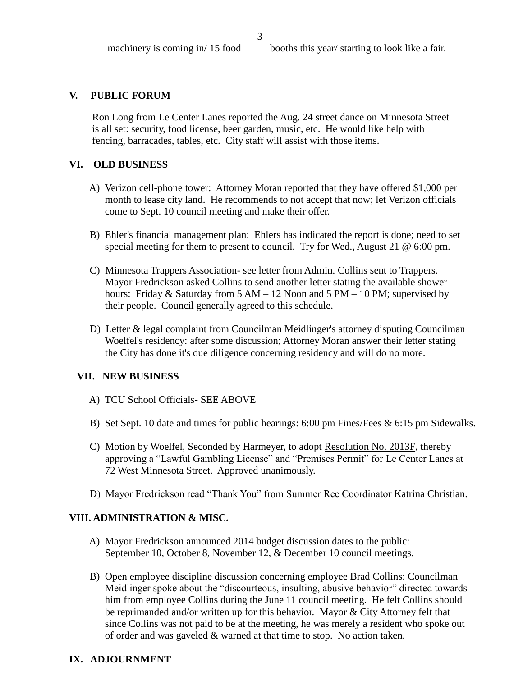#### **V. PUBLIC FORUM**

 Ron Long from Le Center Lanes reported the Aug. 24 street dance on Minnesota Street is all set: security, food license, beer garden, music, etc. He would like help with fencing, barracades, tables, etc. City staff will assist with those items.

#### **VI. OLD BUSINESS**

- A) Verizon cell-phone tower: Attorney Moran reported that they have offered \$1,000 per month to lease city land. He recommends to not accept that now; let Verizon officials come to Sept. 10 council meeting and make their offer.
- B) Ehler's financial management plan: Ehlers has indicated the report is done; need to set special meeting for them to present to council. Try for Wed., August 21 @ 6:00 pm.
- C) Minnesota Trappers Association- see letter from Admin. Collins sent to Trappers. Mayor Fredrickson asked Collins to send another letter stating the available shower hours: Friday & Saturday from 5 AM – 12 Noon and 5 PM – 10 PM; supervised by their people. Council generally agreed to this schedule.
- D) Letter & legal complaint from Councilman Meidlinger's attorney disputing Councilman Woelfel's residency: after some discussion; Attorney Moran answer their letter stating the City has done it's due diligence concerning residency and will do no more.

#### **VII. NEW BUSINESS**

- A) TCU School Officials- SEE ABOVE
- B) Set Sept. 10 date and times for public hearings: 6:00 pm Fines/Fees & 6:15 pm Sidewalks.
- C) Motion by Woelfel, Seconded by Harmeyer, to adopt Resolution No. 2013F, thereby approving a "Lawful Gambling License" and "Premises Permit" for Le Center Lanes at 72 West Minnesota Street. Approved unanimously.
- D) Mayor Fredrickson read "Thank You" from Summer Rec Coordinator Katrina Christian.

#### **VIII. ADMINISTRATION & MISC.**

- A) Mayor Fredrickson announced 2014 budget discussion dates to the public: September 10, October 8, November 12, & December 10 council meetings.
- B) Open employee discipline discussion concerning employee Brad Collins: Councilman Meidlinger spoke about the "discourteous, insulting, abusive behavior" directed towards him from employee Collins during the June 11 council meeting. He felt Collins should be reprimanded and/or written up for this behavior. Mayor & City Attorney felt that since Collins was not paid to be at the meeting, he was merely a resident who spoke out of order and was gaveled & warned at that time to stop. No action taken.

#### **IX. ADJOURNMENT**